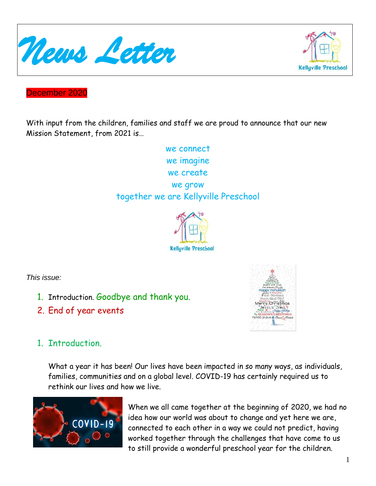



December 2020

With input from the children, families and staff we are proud to announce that our new Mission Statement, from 2021 is…

> we connect we imagine we create we grow together we are Kellyville Preschool



*This issue:*

- 1. Introduction. Goodbye and thank you.
- 2. End of year events



## 1. Introduction.

What a year it has been! Our lives have been impacted in so many ways, as individuals, families, communities and on a global level. COVID-19 has certainly required us to rethink our lives and how we live.



When we all came together at the beginning of 2020, we had no idea how our world was about to change and yet here we are, connected to each other in a way we could not predict, having worked together through the challenges that have come to us to still provide a wonderful preschool year for the children.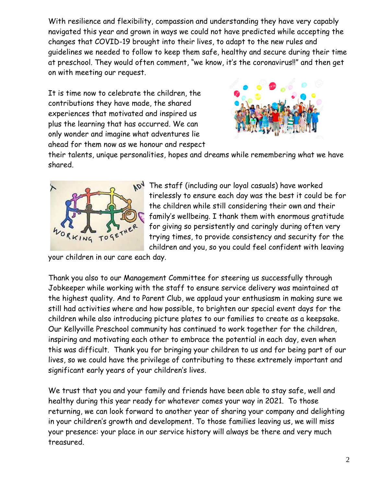With resilience and flexibility, compassion and understanding they have very capably navigated this year and grown in ways we could not have predicted while accepting the changes that COVID-19 brought into their lives, to adapt to the new rules and guidelines we needed to follow to keep them safe, healthy and secure during their time at preschool. They would often comment, "we know, it's the coronavirus!!" and then get on with meeting our request.

It is time now to celebrate the children, the contributions they have made, the shared experiences that motivated and inspired us plus the learning that has occurred. We can only wonder and imagine what adventures lie ahead for them now as we honour and respect



their talents, unique personalities, hopes and dreams while remembering what we have shared.



**NON** The staff (including our loyal casuals) have worked tirelessly to ensure each day was the best it could be for the children while still considering their own and their family's wellbeing. I thank them with enormous gratitude for giving so persistently and caringly during often very trying times, to provide consistency and security for the children and you, so you could feel confident with leaving

your children in our care each day.

Thank you also to our Management Committee for steering us successfully through Jobkeeper while working with the staff to ensure service delivery was maintained at the highest quality. And to Parent Club, we applaud your enthusiasm in making sure we still had activities where and how possible, to brighten our special event days for the children while also introducing picture plates to our families to create as a keepsake. Our Kellyville Preschool community has continued to work together for the children, inspiring and motivating each other to embrace the potential in each day, even when this was difficult. Thank you for bringing your children to us and for being part of our lives, so we could have the privilege of contributing to these extremely important and significant early years of your children's lives.

We trust that you and your family and friends have been able to stay safe, well and healthy during this year ready for whatever comes your way in 2021. To those returning, we can look forward to another year of sharing your company and delighting in your children's growth and development. To those families leaving us, we will miss your presence: your place in our service history will always be there and very much treasured.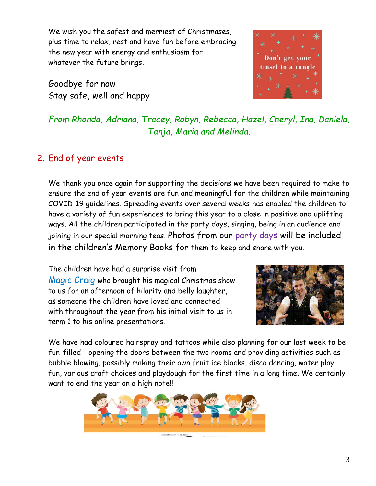We wish you the safest and merriest of Christmases, plus time to relax, rest and have fun before embracing the new year with energy and enthusiasm for whatever the future brings.

Goodbye for now Stay safe, well and happy



*From Rhonda, Adriana, Tracey, Robyn, Rebecca, Hazel, Cheryl, Ina, Daniela, Tanja, Maria and Melinda.*

## 2. End of year events

We thank you once again for supporting the decisions we have been required to make to ensure the end of year events are fun and meaningful for the children while maintaining COVID-19 guidelines. Spreading events over several weeks has enabled the children to have a variety of fun experiences to bring this year to a close in positive and uplifting ways. All the children participated in the party days, singing, being in an audience and joining in our special morning teas. Photos from our party days will be included in the children's Memory Books for them to keep and share with you.

The children have had a surprise visit from Magic Craig who brought his magical Christmas show to us for an afternoon of hilarity and belly laughter, as someone the children have loved and connected with throughout the year from his initial visit to us in term 1 to his online presentations.



We have had coloured hairspray and tattoos while also planning for our last week to be fun-filled - opening the doors between the two rooms and providing activities such as bubble blowing, possibly making their own fruit ice blocks, disco dancing, water play fun, various craft choices and playdough for the first time in a long time. We certainly want to end the year on a high note!!